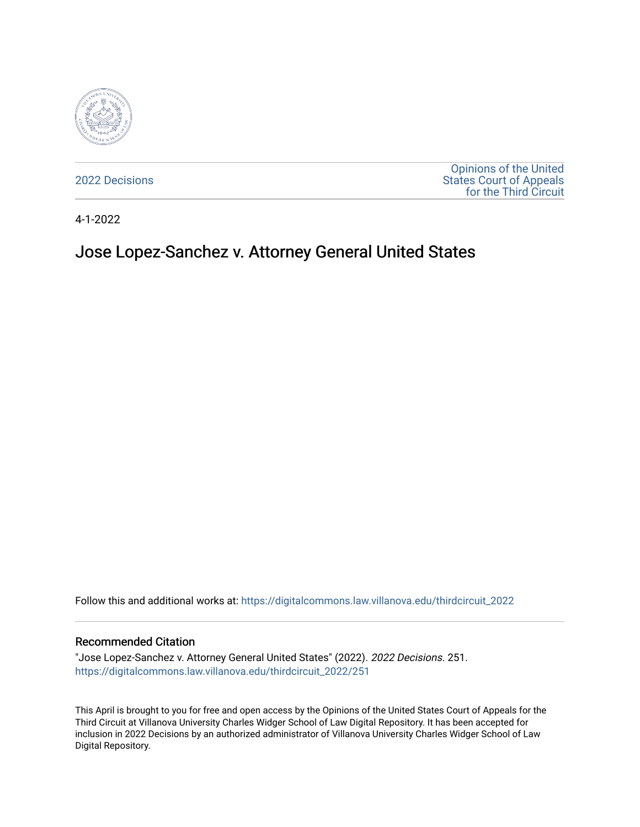

[2022 Decisions](https://digitalcommons.law.villanova.edu/thirdcircuit_2022)

[Opinions of the United](https://digitalcommons.law.villanova.edu/thirdcircuit)  [States Court of Appeals](https://digitalcommons.law.villanova.edu/thirdcircuit)  [for the Third Circuit](https://digitalcommons.law.villanova.edu/thirdcircuit) 

4-1-2022

# Jose Lopez-Sanchez v. Attorney General United States

Follow this and additional works at: [https://digitalcommons.law.villanova.edu/thirdcircuit\\_2022](https://digitalcommons.law.villanova.edu/thirdcircuit_2022?utm_source=digitalcommons.law.villanova.edu%2Fthirdcircuit_2022%2F251&utm_medium=PDF&utm_campaign=PDFCoverPages) 

#### Recommended Citation

"Jose Lopez-Sanchez v. Attorney General United States" (2022). 2022 Decisions. 251. [https://digitalcommons.law.villanova.edu/thirdcircuit\\_2022/251](https://digitalcommons.law.villanova.edu/thirdcircuit_2022/251?utm_source=digitalcommons.law.villanova.edu%2Fthirdcircuit_2022%2F251&utm_medium=PDF&utm_campaign=PDFCoverPages)

This April is brought to you for free and open access by the Opinions of the United States Court of Appeals for the Third Circuit at Villanova University Charles Widger School of Law Digital Repository. It has been accepted for inclusion in 2022 Decisions by an authorized administrator of Villanova University Charles Widger School of Law Digital Repository.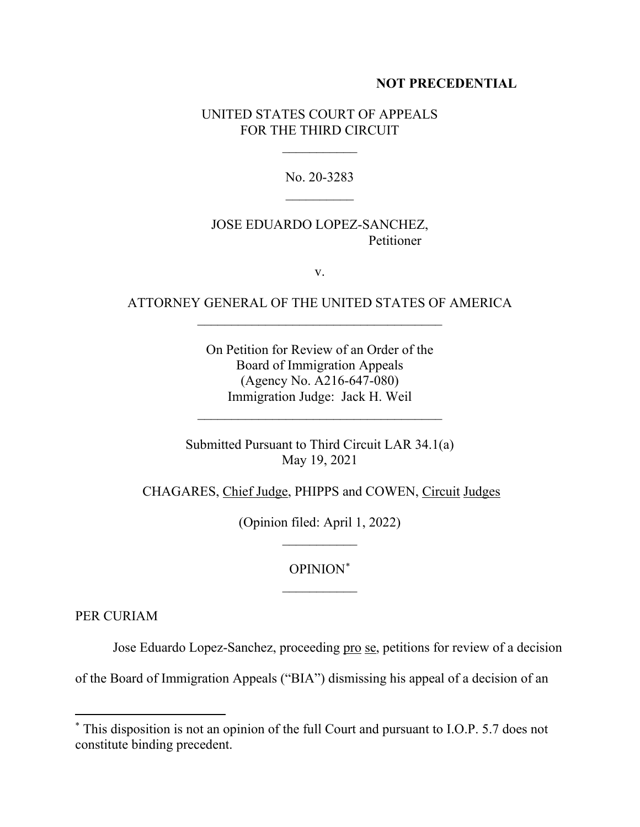#### **NOT PRECEDENTIAL**

#### UNITED STATES COURT OF APPEALS FOR THE THIRD CIRCUIT

 $\frac{1}{2}$ 

No. 20-3283  $\frac{1}{2}$ 

### JOSE EDUARDO LOPEZ-SANCHEZ, Petitioner

v.

## ATTORNEY GENERAL OF THE UNITED STATES OF AMERICA  $\mathcal{L}_\text{max}$  , where  $\mathcal{L}_\text{max}$  is the set of the set of the set of the set of the set of the set of the set of the set of the set of the set of the set of the set of the set of the set of the set of the set of the se

On Petition for Review of an Order of the Board of Immigration Appeals (Agency No. A216-647-080) Immigration Judge: Jack H. Weil

Submitted Pursuant to Third Circuit LAR 34.1(a) May 19, 2021

\_\_\_\_\_\_\_\_\_\_\_\_\_\_\_\_\_\_\_\_\_\_\_\_\_\_\_\_\_\_\_\_\_\_\_\_

CHAGARES, Chief Judge, PHIPPS and COWEN, Circuit Judges

(Opinion filed: April 1, 2022)  $\frac{1}{2}$ 

> OPINION\*  $\overline{\phantom{a}}$

PER CURIAM

Jose Eduardo Lopez-Sanchez, proceeding pro se, petitions for review of a decision

of the Board of Immigration Appeals ("BIA") dismissing his appeal of a decision of an

<sup>\*</sup> This disposition is not an opinion of the full Court and pursuant to I.O.P. 5.7 does not constitute binding precedent.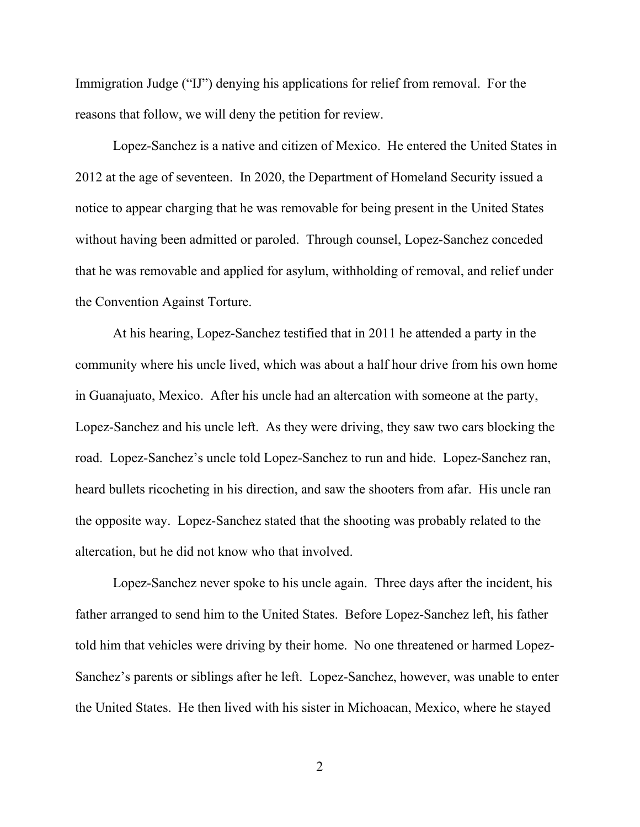Immigration Judge ("IJ") denying his applications for relief from removal. For the reasons that follow, we will deny the petition for review.

Lopez-Sanchez is a native and citizen of Mexico. He entered the United States in 2012 at the age of seventeen. In 2020, the Department of Homeland Security issued a notice to appear charging that he was removable for being present in the United States without having been admitted or paroled. Through counsel, Lopez-Sanchez conceded that he was removable and applied for asylum, withholding of removal, and relief under the Convention Against Torture.

At his hearing, Lopez-Sanchez testified that in 2011 he attended a party in the community where his uncle lived, which was about a half hour drive from his own home in Guanajuato, Mexico. After his uncle had an altercation with someone at the party, Lopez-Sanchez and his uncle left. As they were driving, they saw two cars blocking the road. Lopez-Sanchez's uncle told Lopez-Sanchez to run and hide. Lopez-Sanchez ran, heard bullets ricocheting in his direction, and saw the shooters from afar. His uncle ran the opposite way. Lopez-Sanchez stated that the shooting was probably related to the altercation, but he did not know who that involved.

Lopez-Sanchez never spoke to his uncle again. Three days after the incident, his father arranged to send him to the United States. Before Lopez-Sanchez left, his father told him that vehicles were driving by their home. No one threatened or harmed Lopez-Sanchez's parents or siblings after he left. Lopez-Sanchez, however, was unable to enter the United States. He then lived with his sister in Michoacan, Mexico, where he stayed

2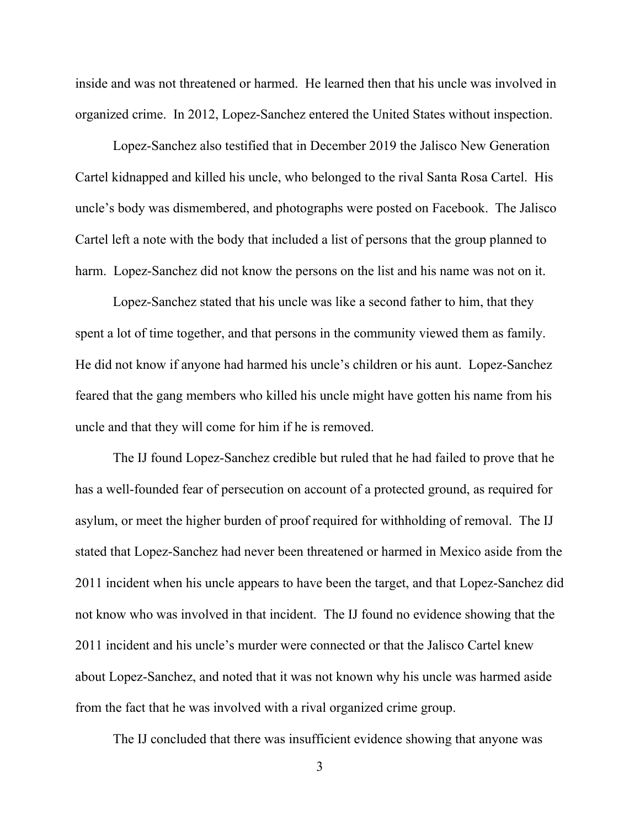inside and was not threatened or harmed. He learned then that his uncle was involved in organized crime. In 2012, Lopez-Sanchez entered the United States without inspection.

Lopez-Sanchez also testified that in December 2019 the Jalisco New Generation Cartel kidnapped and killed his uncle, who belonged to the rival Santa Rosa Cartel. His uncle's body was dismembered, and photographs were posted on Facebook. The Jalisco Cartel left a note with the body that included a list of persons that the group planned to harm. Lopez-Sanchez did not know the persons on the list and his name was not on it.

Lopez-Sanchez stated that his uncle was like a second father to him, that they spent a lot of time together, and that persons in the community viewed them as family. He did not know if anyone had harmed his uncle's children or his aunt. Lopez-Sanchez feared that the gang members who killed his uncle might have gotten his name from his uncle and that they will come for him if he is removed.

 The IJ found Lopez-Sanchez credible but ruled that he had failed to prove that he has a well-founded fear of persecution on account of a protected ground, as required for asylum, or meet the higher burden of proof required for withholding of removal. The IJ stated that Lopez-Sanchez had never been threatened or harmed in Mexico aside from the 2011 incident when his uncle appears to have been the target, and that Lopez-Sanchez did not know who was involved in that incident. The IJ found no evidence showing that the 2011 incident and his uncle's murder were connected or that the Jalisco Cartel knew about Lopez-Sanchez, and noted that it was not known why his uncle was harmed aside from the fact that he was involved with a rival organized crime group.

The IJ concluded that there was insufficient evidence showing that anyone was

3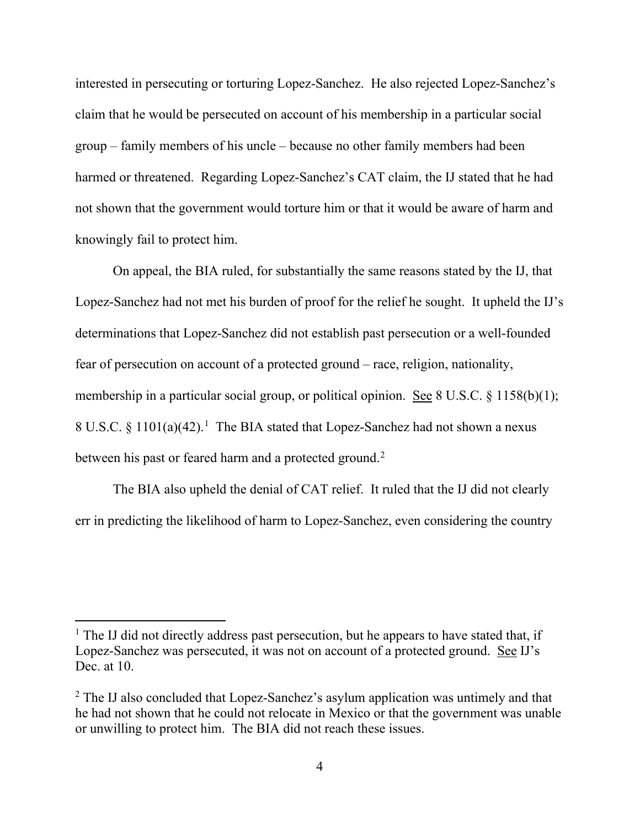interested in persecuting or torturing Lopez-Sanchez. He also rejected Lopez-Sanchez's claim that he would be persecuted on account of his membership in a particular social group – family members of his uncle – because no other family members had been harmed or threatened. Regarding Lopez-Sanchez's CAT claim, the IJ stated that he had not shown that the government would torture him or that it would be aware of harm and knowingly fail to protect him.

On appeal, the BIA ruled, for substantially the same reasons stated by the IJ, that Lopez-Sanchez had not met his burden of proof for the relief he sought. It upheld the IJ's determinations that Lopez-Sanchez did not establish past persecution or a well-founded fear of persecution on account of a protected ground – race, religion, nationality, membership in a particular social group, or political opinion. See  $8 \text{ U.S.C. } \frac{6}{5} \cdot 1158(b)(1);$ 8 U.S.C.  $\S 1101(a)(42)$ .<sup>1</sup> The BIA stated that Lopez-Sanchez had not shown a nexus between his past or feared harm and a protected ground.<sup>2</sup>

The BIA also upheld the denial of CAT relief. It ruled that the IJ did not clearly err in predicting the likelihood of harm to Lopez-Sanchez, even considering the country

 $<sup>1</sup>$  The IJ did not directly address past persecution, but he appears to have stated that, if</sup> Lopez-Sanchez was persecuted, it was not on account of a protected ground. See IJ's Dec. at 10.

 $<sup>2</sup>$  The IJ also concluded that Lopez-Sanchez's asylum application was untimely and that</sup> he had not shown that he could not relocate in Mexico or that the government was unable or unwilling to protect him. The BIA did not reach these issues.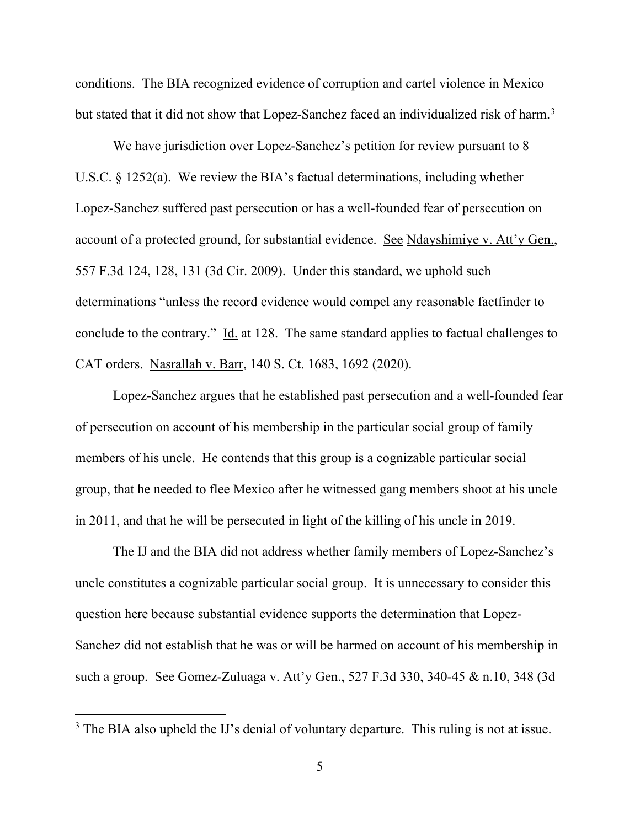conditions. The BIA recognized evidence of corruption and cartel violence in Mexico but stated that it did not show that Lopez-Sanchez faced an individualized risk of harm.<sup>3</sup>

We have jurisdiction over Lopez-Sanchez's petition for review pursuant to 8 U.S.C. § 1252(a). We review the BIA's factual determinations, including whether Lopez-Sanchez suffered past persecution or has a well-founded fear of persecution on account of a protected ground, for substantial evidence. See Ndayshimiye v. Att'y Gen., 557 F.3d 124, 128, 131 (3d Cir. 2009). Under this standard, we uphold such determinations "unless the record evidence would compel any reasonable factfinder to conclude to the contrary." Id. at 128. The same standard applies to factual challenges to CAT orders. Nasrallah v. Barr, 140 S. Ct. 1683, 1692 (2020).

Lopez-Sanchez argues that he established past persecution and a well-founded fear of persecution on account of his membership in the particular social group of family members of his uncle. He contends that this group is a cognizable particular social group, that he needed to flee Mexico after he witnessed gang members shoot at his uncle in 2011, and that he will be persecuted in light of the killing of his uncle in 2019.

The IJ and the BIA did not address whether family members of Lopez-Sanchez's uncle constitutes a cognizable particular social group. It is unnecessary to consider this question here because substantial evidence supports the determination that Lopez-Sanchez did not establish that he was or will be harmed on account of his membership in such a group. See Gomez-Zuluaga v. Att'y Gen., 527 F.3d 330, 340-45 & n.10, 348 (3d

<sup>&</sup>lt;sup>3</sup> The BIA also upheld the IJ's denial of voluntary departure. This ruling is not at issue.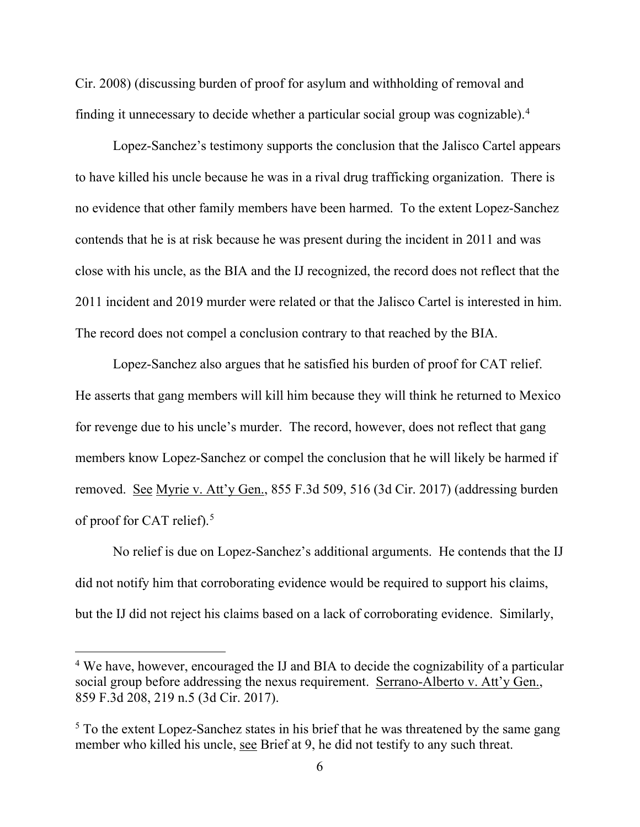Cir. 2008) (discussing burden of proof for asylum and withholding of removal and finding it unnecessary to decide whether a particular social group was cognizable).4

Lopez-Sanchez's testimony supports the conclusion that the Jalisco Cartel appears to have killed his uncle because he was in a rival drug trafficking organization. There is no evidence that other family members have been harmed. To the extent Lopez-Sanchez contends that he is at risk because he was present during the incident in 2011 and was close with his uncle, as the BIA and the IJ recognized, the record does not reflect that the 2011 incident and 2019 murder were related or that the Jalisco Cartel is interested in him. The record does not compel a conclusion contrary to that reached by the BIA.

Lopez-Sanchez also argues that he satisfied his burden of proof for CAT relief. He asserts that gang members will kill him because they will think he returned to Mexico for revenge due to his uncle's murder. The record, however, does not reflect that gang members know Lopez-Sanchez or compel the conclusion that he will likely be harmed if removed. See Myrie v. Att'y Gen., 855 F.3d 509, 516 (3d Cir. 2017) (addressing burden of proof for CAT relief).<sup>5</sup>

No relief is due on Lopez-Sanchez's additional arguments. He contends that the IJ did not notify him that corroborating evidence would be required to support his claims, but the IJ did not reject his claims based on a lack of corroborating evidence. Similarly,

<sup>&</sup>lt;sup>4</sup> We have, however, encouraged the IJ and BIA to decide the cognizability of a particular social group before addressing the nexus requirement. Serrano-Alberto v. Att'y Gen., 859 F.3d 208, 219 n.5 (3d Cir. 2017).

<sup>&</sup>lt;sup>5</sup> To the extent Lopez-Sanchez states in his brief that he was threatened by the same gang member who killed his uncle, see Brief at 9, he did not testify to any such threat.